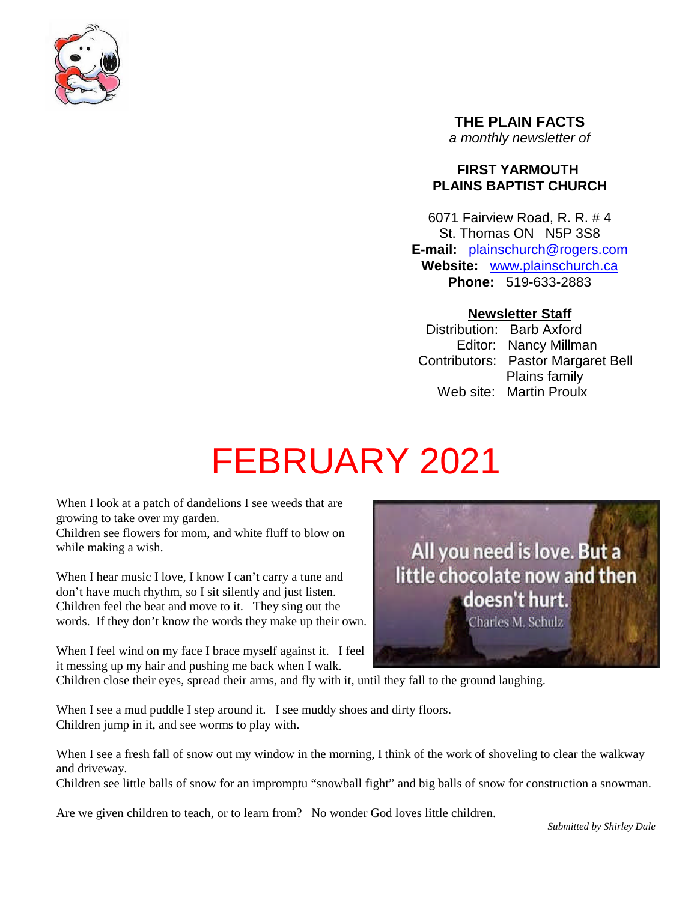

**THE PLAIN FACTS** *a monthly newsletter of*

# **FIRST YARMOUTH PLAINS BAPTIST CHURCH**

6071 Fairview Road, R. R. # 4 St. Thomas ON N5P 3S8 **E-mail:** plainschurch@rogers.com **Website:** www.plainschurch.ca **Phone:** 519-633-2883

# **Newsletter Staff**

Distribution: Barb Axford Editor: Nancy Millman Contributors: Pastor Margaret Bell Plains family Web site: Martin Proulx

# FEBRUARY 2021

When I look at a patch of dandelions I see weeds that are growing to take over my garden.

Children see flowers for mom, and white fluff to blow on while making a wish.

When I hear music I love, I know I can't carry a tune and don't have much rhythm, so I sit silently and just listen. Children feel the beat and move to it. They sing out the words. If they don't know the words they make up their own.

When I feel wind on my face I brace myself against it. I feel it messing up my hair and pushing me back when I walk.

Children close their eyes, spread their arms, and fly with it, until they fall to the ground laughing.

When I see a mud puddle I step around it. I see muddy shoes and dirty floors. Children jump in it, and see worms to play with.

When I see a fresh fall of snow out my window in the morning, I think of the work of shoveling to clear the walkway and driveway.

Children see little balls of snow for an impromptu "snowball fight" and big balls of snow for construction a snowman.

Are we given children to teach, or to learn from? No wonder God loves little children.

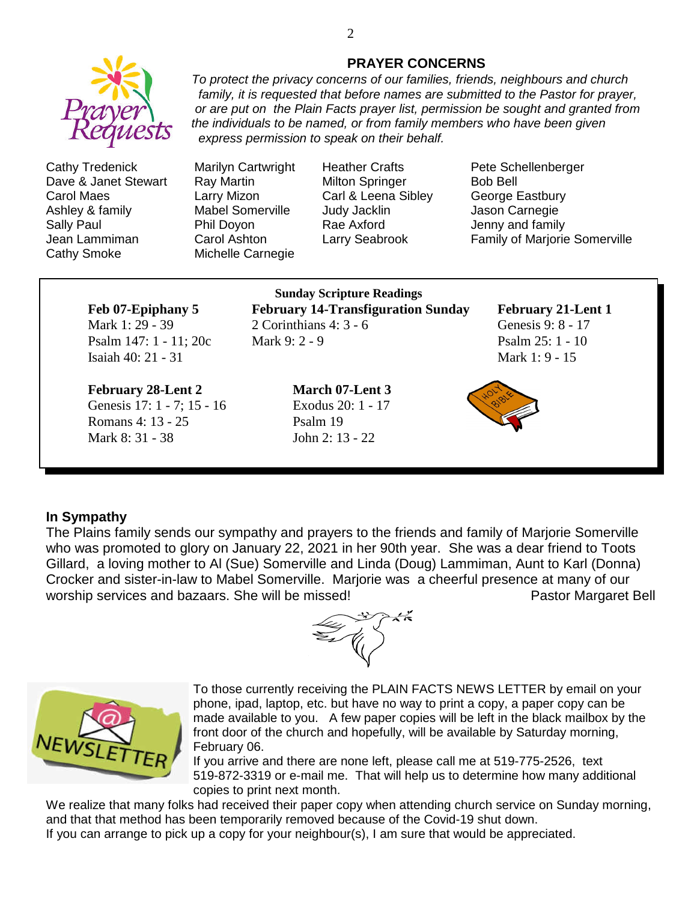

Cathy Tredenick Marilyn Cartwright Heather Crafts Pete Schellenberger Dave & Janet Stewart Ray Martin Milton Springer Bob Bell Carol Maes Larry Mizon Carl & Leena Sibley George Eastbury Ashley & family **Mabel Somerville** Judy Jacklin Jason Carnegie Sally Paul **Phil Doyon** Rae Axford **Paul Access** Jenny and family Cathy Smoke Michelle Carnegie

Jean Lammiman Carol Ashton Larry Seabrook Family of Marjorie Somerville

Isaiah 40: 21 - 31 Mark 1: 9 - 15

# **February 28-Lent 2 March 07-Lent 3**

Genesis 17: 1 - 7; 15 - 16 Exodus 20: 1 - 17 Romans 4: 13 - 25 Psalm 19 Mark 8: 31 - 38 John 2: 13 - 22

### **Sunday Scripture Readings Feb 07-Epiphany 5 February 14-Transfiguration Sunday February 21-Lent 1** Mark 1: 29 - 39 2 Corinthians 4: 3 - 6 Genesis 9: 8 - 17 Psalm 147: 1 - 11; 20c Mark 9: 2 - 9 Psalm 25: 1 - 10



#### **In Sympathy**

The Plains family sends our sympathy and prayers to the friends and family of Marjorie Somerville who was promoted to glory on January 22, 2021 in her 90th year. She was a dear friend to Toots Gillard, a loving mother to Al (Sue) Somerville and Linda (Doug) Lammiman, Aunt to Karl (Donna) Crocker and sister-in-law to Mabel Somerville. Marjorie was a cheerful presence at many of our worship services and bazaars. She will be missed!<br>
Pastor Margaret Bell





To those currently receiving the PLAIN FACTS NEWS LETTER by email on your phone, ipad, laptop, etc. but have no way to print a copy, a paper copy can be made available to you. A few paper copies will be left in the black mailbox by the front door of the church and hopefully, will be available by Saturday morning, February 06.

If you arrive and there are none left, please call me at 519-775-2526, text 519-872-3319 or e-mail me. That will help us to determine how many additional copies to print next month.

We realize that many folks had received their paper copy when attending church service on Sunday morning, and that that method has been temporarily removed because of the Covid-19 shut down. If you can arrange to pick up a copy for your neighbour(s), I am sure that would be appreciated.

*express permission to speak on their behalf.*

#### **PRAYER CONCERNS** *To protect the privacy concerns of our families, friends, neighbours and church*

*family, it is requested that before names are submitted to the Pastor for prayer, or are put on the Plain Facts prayer list, permission be sought and granted from*

*the individuals to be named, or from family members who have been given*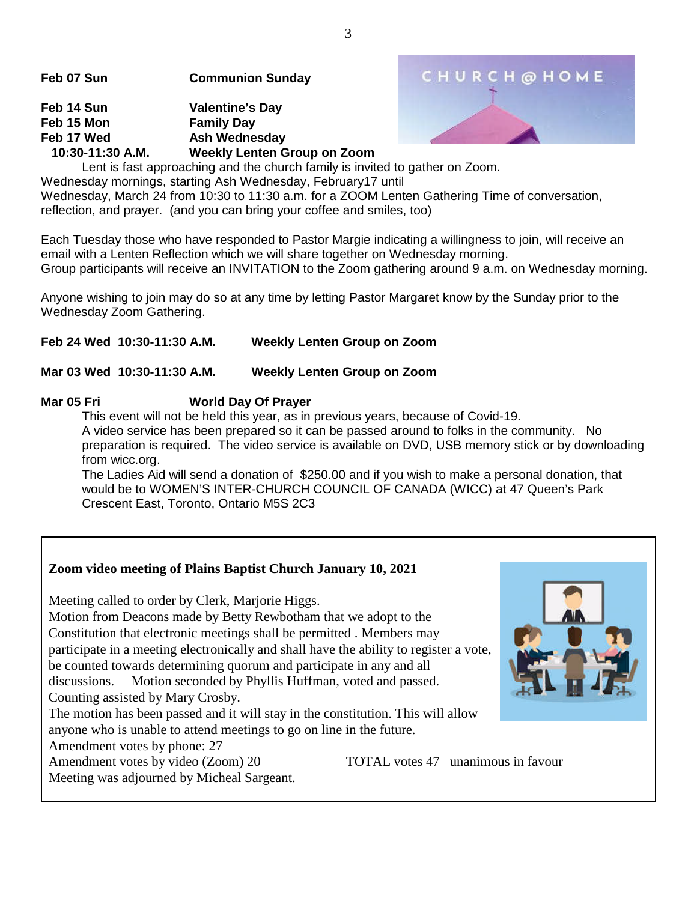**Feb 07 Sun Communion Sunday**

**Feb 14 Sun Valentine's Day Feb 15 Mon Family Day** Feb 17 Wed **Ash Wednesday 10:30-11:30 A.M. Weekly Lenten Group on Zoom**



Lent is fast approaching and the church family is invited to gather on Zoom. Wednesday mornings, starting Ash Wednesday, February17 until Wednesday, March 24 from 10:30 to 11:30 a.m. for a ZOOM Lenten Gathering Time of conversation, reflection, and prayer. (and you can bring your coffee and smiles, too)

Each Tuesday those who have responded to Pastor Margie indicating a willingness to join, will receive an email with a Lenten Reflection which we will share together on Wednesday morning. Group participants will receive an INVITATION to the Zoom gathering around 9 a.m. on Wednesday morning.

Anyone wishing to join may do so at any time by letting Pastor Margaret know by the Sunday prior to the Wednesday Zoom Gathering.

**Feb 24 Wed 10:30-11:30 A.M. Weekly Lenten Group on Zoom**

# **Mar 03 Wed 10:30-11:30 A.M. Weekly Lenten Group on Zoom**

# **Mar 05 Fri World Day Of Prayer**

This event will not be held this year, as in previous years, because of Covid-19. A video service has been prepared so it can be passed around to folks in the community. No preparation is required. The video service is available on DVD, USB memory stick or by downloading from wicc.org.

The Ladies Aid will send a donation of \$250.00 and if you wish to make a personal donation, that would be to WOMEN'S INTER-CHURCH COUNCIL OF CANADA (WICC) at 47 Queen's Park Crescent East, Toronto, Ontario M5S 2C3

# **Zoom video meeting of Plains Baptist Church January 10, 2021**

Meeting called to order by Clerk, Marjorie Higgs.

Motion from Deacons made by Betty Rewbotham that we adopt to the Constitution that electronic meetings shall be permitted . Members may participate in a meeting electronically and shall have the ability to register a vote, be counted towards determining quorum and participate in any and all discussions. Motion seconded by Phyllis Huffman, voted and passed.

Counting assisted by Mary Crosby.

The motion has been passed and it will stay in the constitution. This will allow anyone who is unable to attend meetings to go on line in the future.

Amendment votes by phone: 27

Amendment votes by video (Zoom) 20 TOTAL votes 47 unanimous in favour

Meeting was adjourned by Micheal Sargeant.

3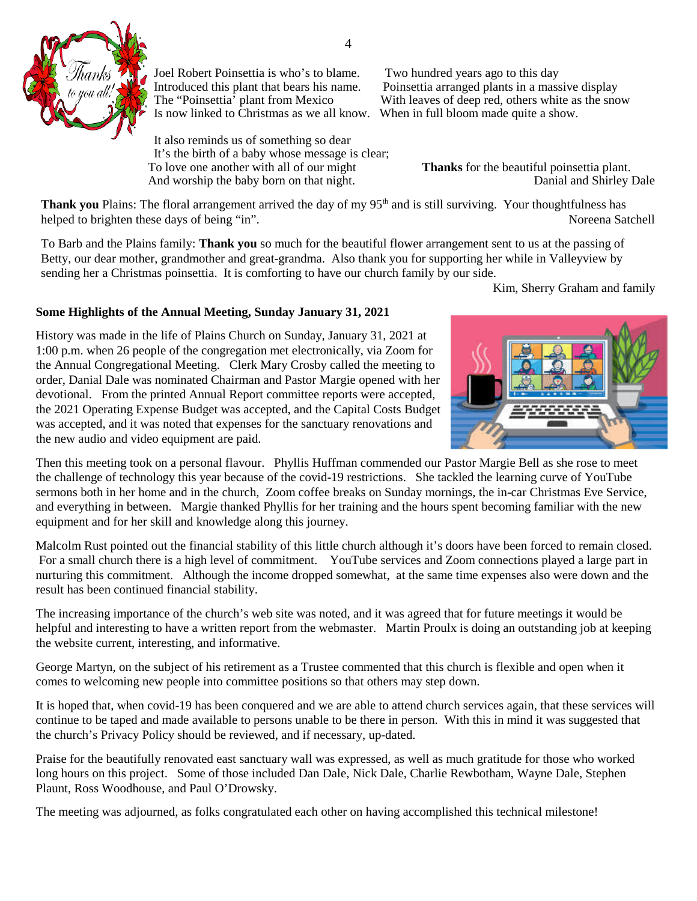

Joel Robert Poinsettia is who's to blame. Two hundred years ago to this day Is now linked to Christmas as we all know. When in full bloom made quite a show.

It also reminds us of something so dear It's the birth of a baby whose message is clear; To love one another with all of our might<br> **Thanks** for the beautiful poinsettia plant.<br>
Danial and Shirley Dale And worship the baby born on that night.

Introduced this plant that bears his name. Poinsettia arranged plants in a massive display<br>The "Poinsettia" plant from Mexico With leaves of deep red, others white as the sno With leaves of deep red, others white as the snow

**Thank you** Plains: The floral arrangement arrived the day of my 95<sup>th</sup> and is still surviving. Your thoughtfulness has helped to brighten these days of being "in". Noreena Satchell

To Barb and the Plains family: **Thank you** so much for the beautiful flower arrangement sent to us at the passing of Betty, our dear mother, grandmother and great-grandma. Also thank you for supporting her while in Valleyview by sending her a Christmas poinsettia. It is comforting to have our church family by our side.

Kim, Sherry Graham and family

#### **Some Highlights of the Annual Meeting, Sunday January 31, 2021**

History was made in the life of Plains Church on Sunday, January 31, 2021 at 1:00 p.m. when 26 people of the congregation met electronically, via Zoom for the Annual Congregational Meeting. Clerk Mary Crosby called the meeting to order, Danial Dale was nominated Chairman and Pastor Margie opened with her devotional. From the printed Annual Report committee reports were accepted, the 2021 Operating Expense Budget was accepted, and the Capital Costs Budget was accepted, and it was noted that expenses for the sanctuary renovations and the new audio and video equipment are paid.



Then this meeting took on a personal flavour. Phyllis Huffman commended our Pastor Margie Bell as she rose to meet the challenge of technology this year because of the covid-19 restrictions. She tackled the learning curve of YouTube sermons both in her home and in the church, Zoom coffee breaks on Sunday mornings, the in-car Christmas Eve Service, and everything in between. Margie thanked Phyllis for her training and the hours spent becoming familiar with the new equipment and for her skill and knowledge along this journey.

Malcolm Rust pointed out the financial stability of this little church although it's doors have been forced to remain closed. For a small church there is a high level of commitment. YouTube services and Zoom connections played a large part in nurturing this commitment. Although the income dropped somewhat, at the same time expenses also were down and the result has been continued financial stability.

The increasing importance of the church's web site was noted, and it was agreed that for future meetings it would be helpful and interesting to have a written report from the webmaster. Martin Proulx is doing an outstanding job at keeping the website current, interesting, and informative.

George Martyn, on the subject of his retirement as a Trustee commented that this church is flexible and open when it comes to welcoming new people into committee positions so that others may step down.

It is hoped that, when covid-19 has been conquered and we are able to attend church services again, that these services will continue to be taped and made available to persons unable to be there in person. With this in mind it was suggested that the church's Privacy Policy should be reviewed, and if necessary, up-dated.

Praise for the beautifully renovated east sanctuary wall was expressed, as well as much gratitude for those who worked long hours on this project. Some of those included Dan Dale, Nick Dale, Charlie Rewbotham, Wayne Dale, Stephen Plaunt, Ross Woodhouse, and Paul O'Drowsky.

The meeting was adjourned, as folks congratulated each other on having accomplished this technical milestone!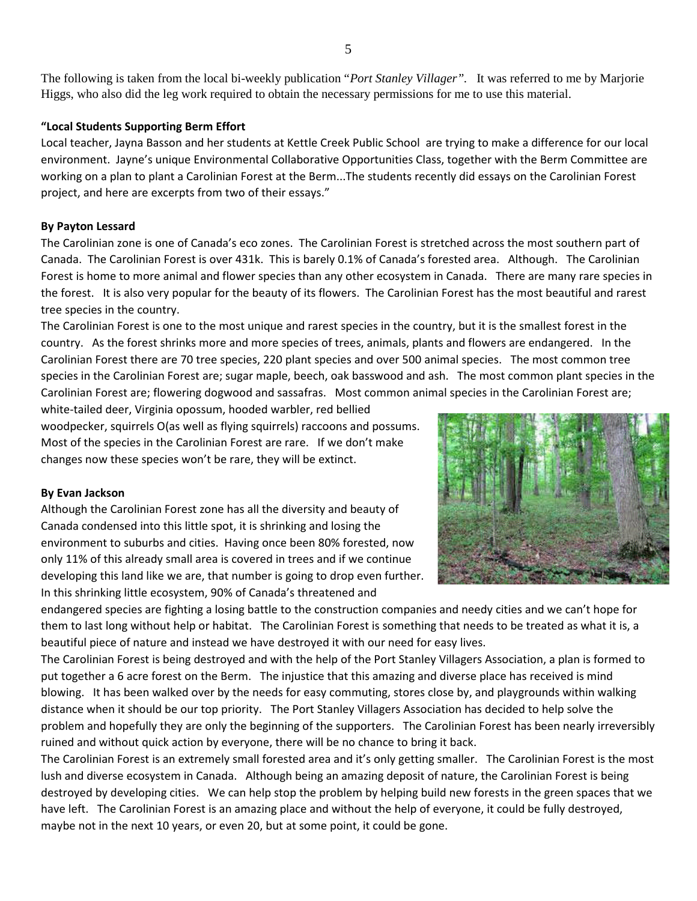The following is taken from the local bi-weekly publication "*Port Stanley Villager".* It was referred to me by Marjorie Higgs, who also did the leg work required to obtain the necessary permissions for me to use this material.

#### **"Local Students Supporting Berm Effort**

Local teacher, Jayna Basson and her students at Kettle Creek Public School are trying to make a difference for our local environment. Jayne's unique Environmental Collaborative Opportunities Class, together with the Berm Committee are working on a plan to plant a Carolinian Forest at the Berm...The students recently did essays on the Carolinian Forest project, and here are excerpts from two of their essays."

#### **By Payton Lessard**

The Carolinian zone is one of Canada's eco zones. The Carolinian Forest is stretched across the most southern part of Canada. The Carolinian Forest is over 431k. This is barely 0.1% of Canada's forested area. Although. The Carolinian Forest is home to more animal and flower species than any other ecosystem in Canada. There are many rare species in the forest. It is also very popular for the beauty of its flowers. The Carolinian Forest has the most beautiful and rarest tree species in the country.

The Carolinian Forest is one to the most unique and rarest species in the country, but it is the smallest forest in the country. As the forest shrinks more and more species of trees, animals, plants and flowers are endangered. In the Carolinian Forest there are 70 tree species, 220 plant species and over 500 animal species. The most common tree species in the Carolinian Forest are; sugar maple, beech, oak basswood and ash. The most common plant species in the Carolinian Forest are; flowering dogwood and sassafras. Most common animal species in the Carolinian Forest are;

white-tailed deer, Virginia opossum, hooded warbler, red bellied woodpecker, squirrels O(as well as flying squirrels) raccoons and possums. Most of the species in the Carolinian Forest are rare. If we don't make changes now these species won't be rare, they will be extinct.

#### **By Evan Jackson**

Although the Carolinian Forest zone has all the diversity and beauty of Canada condensed into this little spot, it is shrinking and losing the environment to suburbs and cities. Having once been 80% forested, now only 11% of this already small area is covered in trees and if we continue developing this land like we are, that number is going to drop even further. In this shrinking little ecosystem, 90% of Canada's threatened and



endangered species are fighting a losing battle to the construction companies and needy cities and we can't hope for them to last long without help or habitat. The Carolinian Forest is something that needs to be treated as what it is, a beautiful piece of nature and instead we have destroyed it with our need for easy lives.

The Carolinian Forest is being destroyed and with the help of the Port Stanley Villagers Association, a plan is formed to put together a 6 acre forest on the Berm. The injustice that this amazing and diverse place has received is mind blowing. It has been walked over by the needs for easy commuting, stores close by, and playgrounds within walking distance when it should be our top priority. The Port Stanley Villagers Association has decided to help solve the problem and hopefully they are only the beginning of the supporters. The Carolinian Forest has been nearly irreversibly ruined and without quick action by everyone, there will be no chance to bring it back.

The Carolinian Forest is an extremely small forested area and it's only getting smaller. The Carolinian Forest is the most lush and diverse ecosystem in Canada. Although being an amazing deposit of nature, the Carolinian Forest is being destroyed by developing cities. We can help stop the problem by helping build new forests in the green spaces that we have left. The Carolinian Forest is an amazing place and without the help of everyone, it could be fully destroyed, maybe not in the next 10 years, or even 20, but at some point, it could be gone.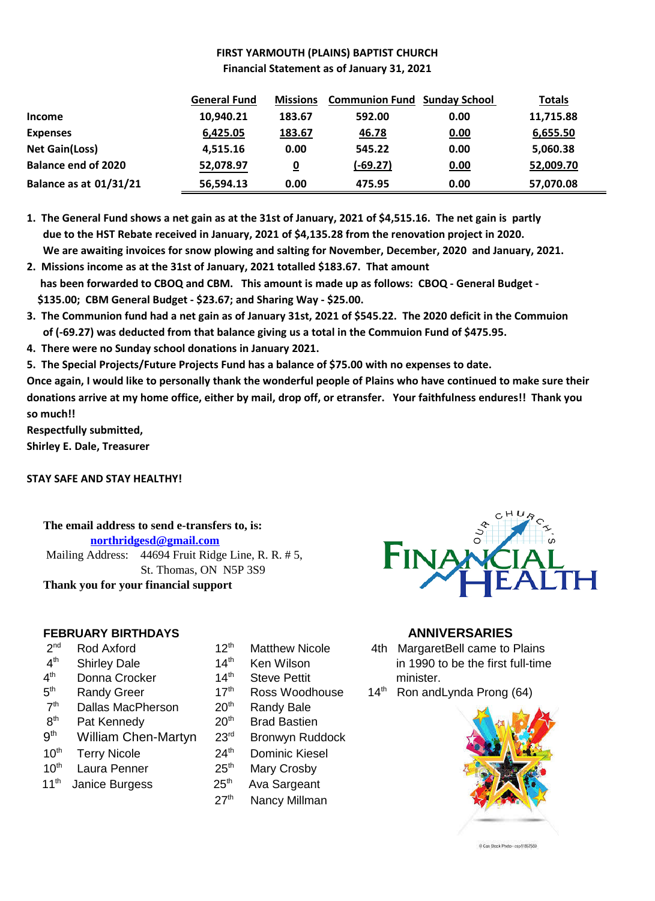# **FIRST YARMOUTH (PLAINS) BAPTIST CHURCH Financial Statement as of January 31, 2021**

|                               | <b>General Fund</b> | <b>Missions</b> | <b>Communion Fund Sunday School</b> |      | <b>Totals</b> |
|-------------------------------|---------------------|-----------------|-------------------------------------|------|---------------|
| <b>Income</b>                 | 10,940.21           | 183.67          | 592.00                              | 0.00 | 11,715.88     |
| <b>Expenses</b>               | 6,425.05            | 183.67          | 46.78                               | 0.00 | 6,655.50      |
| <b>Net Gain(Loss)</b>         | 4,515.16            | 0.00            | 545.22                              | 0.00 | 5,060.38      |
| <b>Balance end of 2020</b>    | 52,078.97           | <u>0</u>        | $(-69.27)$                          | 0.00 | 52,009.70     |
| <b>Balance as at 01/31/21</b> | 56,594.13           | 0.00            | 475.95                              | 0.00 | 57,070.08     |

**1. The General Fund shows a net gain as at the 31st of January, 2021 of \$4,515.16. The net gain is partly due to the HST Rebate received in January, 2021 of \$4,135.28 from the renovation project in 2020. We are awaiting invoices for snow plowing and salting for November, December, 2020 and January, 2021.**

- **2. Missions income as at the 31st of January, 2021 totalled \$183.67. That amount has been forwarded to CBOQ and CBM. This amount is made up as follows: CBOQ - General Budget - \$135.00; CBM General Budget - \$23.67; and Sharing Way - \$25.00.**
- **3. The Communion fund had a net gain as of January 31st, 2021 of \$545.22. The 2020 deficit in the Commuion of (-69.27) was deducted from that balance giving us a total in the Commuion Fund of \$475.95.**
- **4. There were no Sunday school donations in January 2021.**
- **5. The Special Projects/Future Projects Fund has a balance of \$75.00 with no expenses to date.**

**Once again, I would like to personally thank the wonderful people of Plains who have continued to make sure their donations arrive at my home office, either by mail, drop off, or etransfer. Your faithfulness endures!! Thank you so much!!**

**Respectfully submitted,**

**Shirley E. Dale, Treasurer**

#### **STAY SAFE AND STAY HEALTHY!**

**The email address to send e-transfers to, is: northridgesd@gmail.com** Mailing Address: 44694 Fruit Ridge Line, R. R. # 5, St. Thomas, ON N5P 3S9 **Thank you for your financial support**

# **FEBRUARY BIRTHDAYS ANNIVERSARIES**

- $2<sup>nd</sup>$
- $4<sup>th</sup>$
- $4<sup>th</sup>$
- $5^{\text{th}}$
- $7<sup>th</sup>$ Dallas MacPherson 20<sup>th</sup> Randy Bale
- $8<sup>th</sup>$
- $9<sup>th</sup>$ William Chen-Martyn 23<sup>rd</sup> Bronwyn Ruddock
- 10<sup>th</sup> Terry Nicole 24<sup>th</sup> Dominic Kiesel
- 10<sup>th</sup> Laura Penner 25<sup>th</sup> Mary Crosby
- $11<sup>th</sup>$  Janice Burgess  $25<sup>th</sup>$  Ava Sargeant
- 
- 
- Donna Crocker 14<sup>th</sup> Steve Pettit minister.
	-
	-
- Pat Kennedy 20<sup>th</sup> Brad Bastien
	-
	-
	-
	-
	- 27<sup>th</sup> Nancy Millman



- Rod Axford 12<sup>th</sup> Matthew Nicole 4th MargaretBell came to Plains Shirley Dale 14<sup>th</sup> Ken Wilson in 1990 to be the first full-time<br>Donna Crocker 14<sup>th</sup> Steve Pettit minister.
- Randy Greer 17<sup>th</sup> Ross Woodhouse 14<sup>th</sup> Ron andLynda Prong (64)